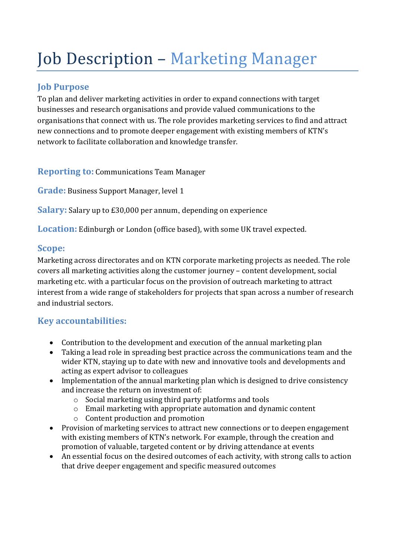# Job Description - Marketing Manager

## **Job Purpose**

To plan and deliver marketing activities in order to expand connections with target businesses and research organisations and provide valued communications to the organisations that connect with us. The role provides marketing services to find and attract new connections and to promote deeper engagement with existing members of KTN's network to facilitate collaboration and knowledge transfer.

**Reporting to: Communications Team Manager** 

**Grade:** Business Support Manager, level 1

**Salary:** Salary up to £30,000 per annum, depending on experience

**Location:** Edinburgh or London (office based), with some UK travel expected.

#### Scope:

Marketing across directorates and on KTN corporate marketing projects as needed. The role covers all marketing activities along the customer journey – content development, social marketing etc. with a particular focus on the provision of outreach marketing to attract interest from a wide range of stakeholders for projects that span across a number of research and industrial sectors.

## **Key accountabilities:**

- Contribution to the development and execution of the annual marketing plan
- Taking a lead role in spreading best practice across the communications team and the wider KTN, staying up to date with new and innovative tools and developments and acting as expert advisor to colleagues
- Implementation of the annual marketing plan which is designed to drive consistency and increase the return on investment of:
	- $\circ$  Social marketing using third party platforms and tools
	- $\circ$  Email marketing with appropriate automation and dynamic content
	- $\circ$  Content production and promotion
- Provision of marketing services to attract new connections or to deepen engagement with existing members of KTN's network. For example, through the creation and promotion of valuable, targeted content or by driving attendance at events
- An essential focus on the desired outcomes of each activity, with strong calls to action that drive deeper engagement and specific measured outcomes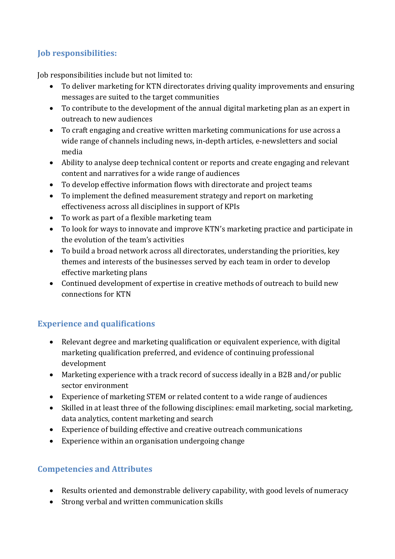#### **Job responsibilities:**

Job responsibilities include but not limited to:

- To deliver marketing for KTN directorates driving quality improvements and ensuring messages are suited to the target communities
- To contribute to the development of the annual digital marketing plan as an expert in outreach to new audiences
- To craft engaging and creative written marketing communications for use across a wide range of channels including news, in-depth articles, e-newsletters and social media
- Ability to analyse deep technical content or reports and create engaging and relevant content and narratives for a wide range of audiences
- To develop effective information flows with directorate and project teams
- To implement the defined measurement strategy and report on marketing effectiveness across all disciplines in support of KPIs
- To work as part of a flexible marketing team
- To look for ways to innovate and improve KTN's marketing practice and participate in the evolution of the team's activities
- To build a broad network across all directorates, understanding the priorities, key themes and interests of the businesses served by each team in order to develop effective marketing plans
- Continued development of expertise in creative methods of outreach to build new connections for KTN

## **Experience and qualifications**

- Relevant degree and marketing qualification or equivalent experience, with digital marketing qualification preferred, and evidence of continuing professional development
- Marketing experience with a track record of success ideally in a B2B and/or public sector environment
- Experience of marketing STEM or related content to a wide range of audiences
- Skilled in at least three of the following disciplines: email marketing, social marketing, data analytics, content marketing and search
- Experience of building effective and creative outreach communications
- Experience within an organisation undergoing change

#### **Competencies and Attributes**

- Results oriented and demonstrable delivery capability, with good levels of numeracy
- Strong verbal and written communication skills